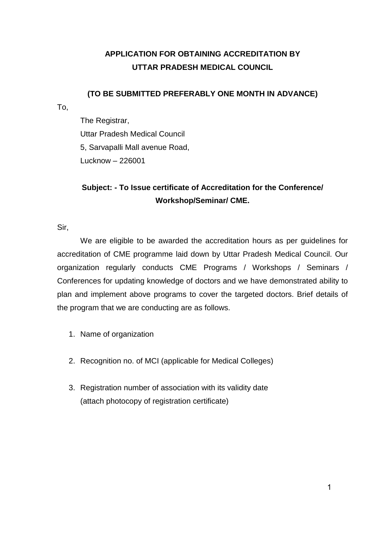### **APPLICATION FOR OBTAINING ACCREDITATION BY UTTAR PRADESH MEDICAL COUNCIL**

### **(TO BE SUBMITTED PREFERABLY ONE MONTH IN ADVANCE)**

To,

The Registrar, Uttar Pradesh Medical Council 5, Sarvapalli Mall avenue Road, Lucknow – 226001

## **Subject: - To Issue certificate of Accreditation for the Conference/ Workshop/Seminar/ CME.**

Sir,

We are eligible to be awarded the accreditation hours as per guidelines for accreditation of CME programme laid down by Uttar Pradesh Medical Council. Our organization regularly conducts CME Programs / Workshops / Seminars / Conferences for updating knowledge of doctors and we have demonstrated ability to plan and implement above programs to cover the targeted doctors. Brief details of the program that we are conducting are as follows.

- 1. Name of organization
- 2. Recognition no. of MCI (applicable for Medical Colleges)
- 3. Registration number of association with its validity date (attach photocopy of registration certificate)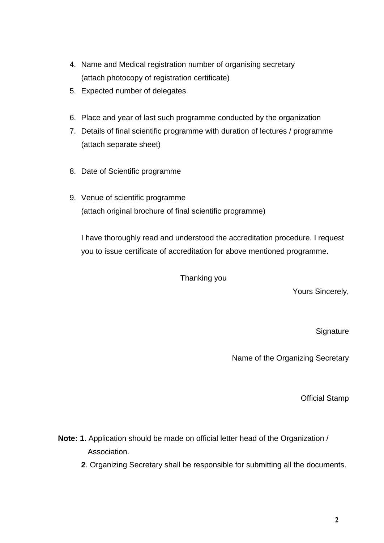- 4. Name and Medical registration number of organising secretary (attach photocopy of registration certificate)
- 5. Expected number of delegates
- 6. Place and year of last such programme conducted by the organization
- 7. Details of final scientific programme with duration of lectures / programme (attach separate sheet)
- 8. Date of Scientific programme
- 9. Venue of scientific programme (attach original brochure of final scientific programme)

I have thoroughly read and understood the accreditation procedure. I request you to issue certificate of accreditation for above mentioned programme.

Thanking you

Yours Sincerely,

**Signature** 

Name of the Organizing Secretary

Official Stamp

- **Note: 1**. Application should be made on official letter head of the Organization / Association.
	- **2**. Organizing Secretary shall be responsible for submitting all the documents.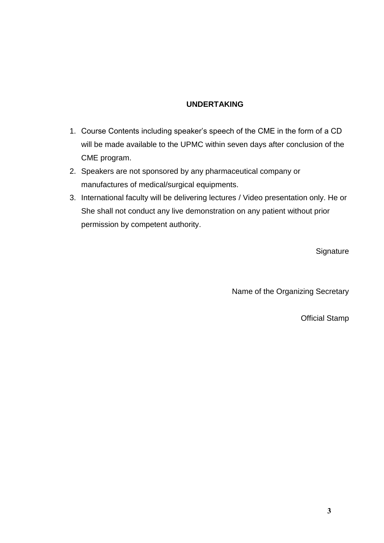#### **UNDERTAKING**

- 1. Course Contents including speaker's speech of the CME in the form of a CD will be made available to the UPMC within seven days after conclusion of the CME program.
- 2. Speakers are not sponsored by any pharmaceutical company or manufactures of medical/surgical equipments.
- 3. International faculty will be delivering lectures / Video presentation only. He or She shall not conduct any live demonstration on any patient without prior permission by competent authority.

**Signature** 

Name of the Organizing Secretary

Official Stamp